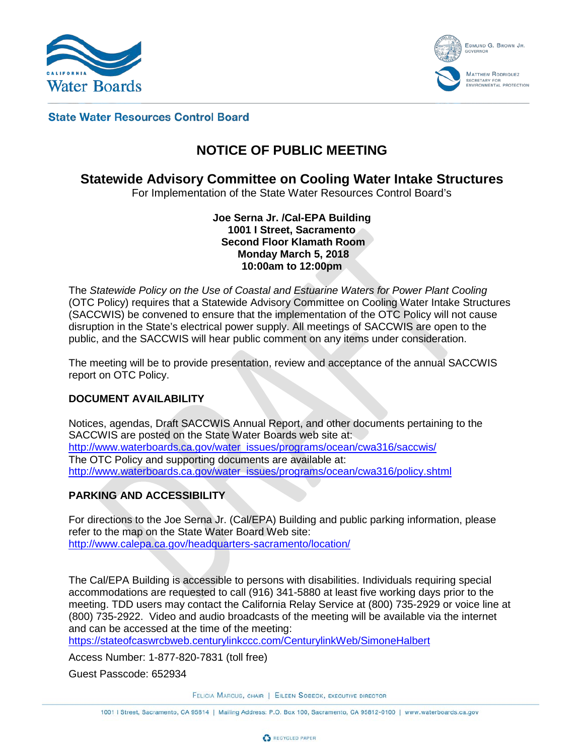



#### **State Water Resources Control Board**

# **NOTICE OF PUBLIC MEETING**

### **Statewide Advisory Committee on Cooling Water Intake Structures**

For Implementation of the State Water Resources Control Board's

**Joe Serna Jr. /Cal-EPA Building 1001 I Street, Sacramento Second Floor Klamath Room Monday March 5, 2018 10:00am to 12:00pm**

The *Statewide Policy on the Use of Coastal and Estuarine Waters for Power Plant Cooling*  (OTC Policy) requires that a Statewide Advisory Committee on Cooling Water Intake Structures (SACCWIS) be convened to ensure that the implementation of the OTC Policy will not cause disruption in the State's electrical power supply. All meetings of SACCWIS are open to the public, and the SACCWIS will hear public comment on any items under consideration.

The meeting will be to provide presentation, review and acceptance of the annual SACCWIS report on OTC Policy.

#### **DOCUMENT AVAILABILITY**

Notices, agendas, Draft SACCWIS Annual Report, and other documents pertaining to the SACCWIS are posted on the State Water Boards web site at: [http://www.waterboards.ca.gov/water\\_issues/programs/ocean/cwa316/saccwis/](http://www.waterboards.ca.gov/water_issues/programs/ocean/cwa316/saccwis/) The OTC Policy and supporting documents are available at: [http://www.waterboards.ca.gov/water\\_issues/programs/ocean/cwa316/policy.shtml](http://www.waterboards.ca.gov/water_issues/programs/ocean/cwa316/policy.shtml)

#### **PARKING AND ACCESSIBILITY**

For directions to the Joe Serna Jr. (Cal/EPA) Building and public parking information, please refer to the map on the State Water Board Web site: <http://www.calepa.ca.gov/headquarters-sacramento/location/>

The Cal/EPA Building is accessible to persons with disabilities. Individuals requiring special accommodations are requested to call (916) 341-5880 at least five working days prior to the meeting. TDD users may contact the California Relay Service at (800) 735-2929 or voice line at (800) 735-2922. Video and audio broadcasts of the meeting will be available via the internet and can be accessed at the time of the meeting:

<https://stateofcaswrcbweb.centurylinkccc.com/CenturylinkWeb/SimoneHalbert>

Access Number: 1-877-820-7831 (toll free)

Guest Passcode: 652934

FELICIA MARCUS, CHAIR | EILEEN SOBECK, EXECUTIVE DIRECTOR

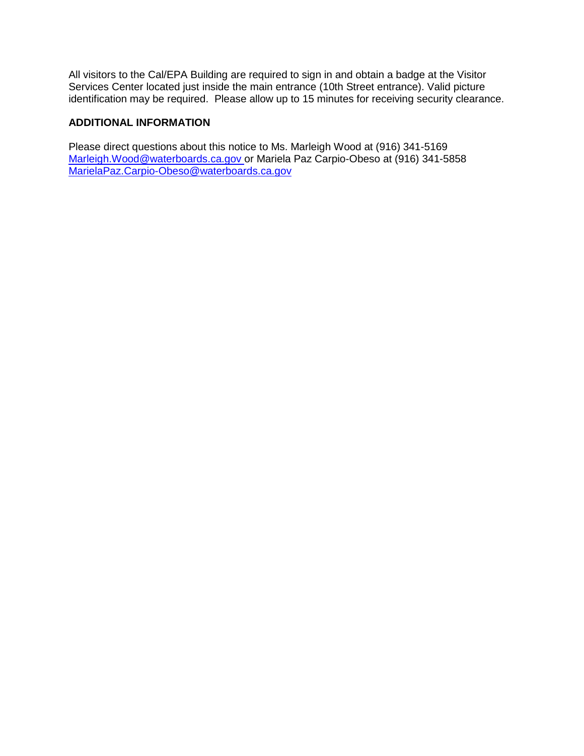All visitors to the Cal/EPA Building are required to sign in and obtain a badge at the Visitor Services Center located just inside the main entrance (10th Street entrance). Valid picture identification may be required. Please allow up to 15 minutes for receiving security clearance.

### **ADDITIONAL INFORMATION**

Please direct questions about this notice to Ms. Marleigh Wood at (916) 341-5169 [Marleigh.Wood@waterboards.ca.gov](mailto:Marleigh.Wood@waterboards.ca.gov) or Mariela Paz Carpio-Obeso at (916) 341-5858 [MarielaPaz.Carpio-Obeso@waterboards.ca.gov](mailto:MarielaPaz.Carpio-Obeso@waterboards.ca.gov)